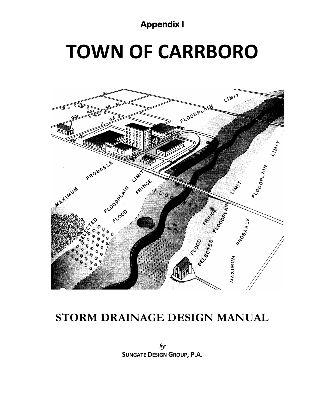#### **Appendix I**

# **TOWN OF CARRBORO**



### **STORM DRAINAGE DESIGN MANUAL**

*by:*  **SUNGATE DESIGN GROUP, P.A.**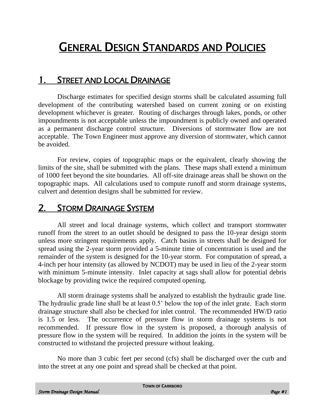## GENERAL DESIGN STANDARDS AND POLICIES

#### 1. STREET AND LOCAL DRAINAGE

Discharge estimates for specified design storms shall be calculated assuming full development of the contributing watershed based on current zoning or on existing development whichever is greater. Routing of discharges through lakes, ponds, or other impoundments is not acceptable unless the impoundment is publicly owned and operated as a permanent discharge control structure. Diversions of stormwater flow are not acceptable. The Town Engineer must approve any diversion of stormwater, which cannot be avoided.

For review, copies of topographic maps or the equivalent, clearly showing the limits of the site, shall be submitted with the plans. These maps shall extend a minimum of 1000 feet beyond the site boundaries. All off-site drainage areas shall be shown on the topographic maps. All calculations used to compute runoff and storm drainage systems, culvert and detention designs shall be submitted for review.

#### 2. STORM DRAINAGE SYSTEM

All street and local drainage systems, which collect and transport stormwater runoff from the street to an outlet should be designed to pass the 10-year design storm unless more stringent requirements apply. Catch basins in streets shall be designed for spread using the 2-year storm provided a 5-minute time of concentration is used and the remainder of the system is designed for the 10-year storm. For computation of spread, a 4-inch per hour intensity (as allowed by NCDOT) may be used in lieu of the 2-year storm with minimum 5-minute intensity. Inlet capacity at sags shall allow for potential debris blockage by providing twice the required computed opening.

All storm drainage systems shall be analyzed to establish the hydraulic grade line. The hydraulic grade line shall be at least 0.5' below the top of the inlet grate. Each storm drainage structure shall also be checked for inlet control. The recommended HW/D ratio is 1.5 or less. The occurrence of pressure flow in storm drainage systems is not recommended. If pressure flow in the system is proposed, a thorough analysis of pressure flow in the system will be required. In addition the joints in the system will be constructed to withstand the projected pressure without leaking.

No more than 3 cubic feet per second (cfs) shall be discharged over the curb and into the street at any one point and spread shall be checked at that point.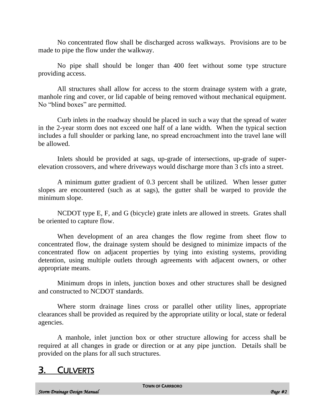No concentrated flow shall be discharged across walkways. Provisions are to be made to pipe the flow under the walkway.

No pipe shall should be longer than 400 feet without some type structure providing access.

All structures shall allow for access to the storm drainage system with a grate, manhole ring and cover, or lid capable of being removed without mechanical equipment. No "blind boxes" are permitted.

Curb inlets in the roadway should be placed in such a way that the spread of water in the 2-year storm does not exceed one half of a lane width. When the typical section includes a full shoulder or parking lane, no spread encroachment into the travel lane will be allowed.

Inlets should be provided at sags, up-grade of intersections, up-grade of superelevation crossovers, and where driveways would discharge more than 3 cfs into a street.

A minimum gutter gradient of 0.3 percent shall be utilized. When lesser gutter slopes are encountered (such as at sags), the gutter shall be warped to provide the minimum slope.

NCDOT type E, F, and G (bicycle) grate inlets are allowed in streets. Grates shall be oriented to capture flow.

When development of an area changes the flow regime from sheet flow to concentrated flow, the drainage system should be designed to minimize impacts of the concentrated flow on adjacent properties by tying into existing systems, providing detention, using multiple outlets through agreements with adjacent owners, or other appropriate means.

Minimum drops in inlets, junction boxes and other structures shall be designed and constructed to NCDOT standards.

Where storm drainage lines cross or parallel other utility lines, appropriate clearances shall be provided as required by the appropriate utility or local, state or federal agencies.

A manhole, inlet junction box or other structure allowing for access shall be required at all changes in grade or direction or at any pipe junction. Details shall be provided on the plans for all such structures.

#### 3. CULVERTS

**TOWN OF CARRBORO**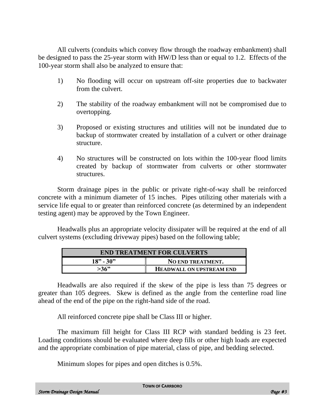All culverts (conduits which convey flow through the roadway embankment) shall be designed to pass the 25-year storm with HW/D less than or equal to 1.2. Effects of the 100-year storm shall also be analyzed to ensure that:

- 1) No flooding will occur on upstream off-site properties due to backwater from the culvert.
- 2) The stability of the roadway embankment will not be compromised due to overtopping.
- 3) Proposed or existing structures and utilities will not be inundated due to backup of stormwater created by installation of a culvert or other drainage structure.
- 4) No structures will be constructed on lots within the 100-year flood limits created by backup of stormwater from culverts or other stormwater structures.

Storm drainage pipes in the public or private right-of-way shall be reinforced concrete with a minimum diameter of 15 inches. Pipes utilizing other materials with a service life equal to or greater than reinforced concrete (as determined by an independent testing agent) may be approved by the Town Engineer.

Headwalls plus an appropriate velocity dissipater will be required at the end of all culvert systems (excluding driveway pipes) based on the following table;

| <b>END TREATMENT FOR CULVERTS</b> |                                 |  |
|-----------------------------------|---------------------------------|--|
| $18" - 30"$                       | <b>NO END TREATMENT.</b>        |  |
| >36"                              | <b>HEADWALL ON UPSTREAM END</b> |  |

Headwalls are also required if the skew of the pipe is less than 75 degrees or greater than 105 degrees. Skew is defined as the angle from the centerline road line ahead of the end of the pipe on the right-hand side of the road.

All reinforced concrete pipe shall be Class III or higher.

The maximum fill height for Class III RCP with standard bedding is 23 feet. Loading conditions should be evaluated where deep fills or other high loads are expected and the appropriate combination of pipe material, class of pipe, and bedding selected.

Minimum slopes for pipes and open ditches is 0.5%.

**TOWN OF CARRBORO**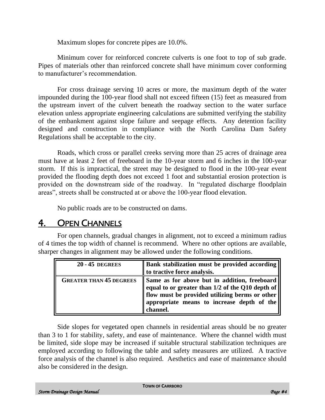Maximum slopes for concrete pipes are 10.0%.

Minimum cover for reinforced concrete culverts is one foot to top of sub grade. Pipes of materials other than reinforced concrete shall have minimum cover conforming to manufacturer's recommendation.

For cross drainage serving 10 acres or more, the maximum depth of the water impounded during the 100-year flood shall not exceed fifteen (15) feet as measured from the upstream invert of the culvert beneath the roadway section to the water surface elevation unless appropriate engineering calculations are submitted verifying the stability of the embankment against slope failure and seepage effects. Any detention facility designed and construction in compliance with the North Carolina Dam Safety Regulations shall be acceptable to the city.

Roads, which cross or parallel creeks serving more than 25 acres of drainage area must have at least 2 feet of freeboard in the 10-year storm and 6 inches in the 100-year storm. If this is impractical, the street may be designed to flood in the 100-year event provided the flooding depth does not exceed 1 foot and substantial erosion protection is provided on the downstream side of the roadway. In "regulated discharge floodplain areas", streets shall be constructed at or above the 100-year flood elevation.

No public roads are to be constructed on dams.

#### 4. OPEN CHANNELS

For open channels, gradual changes in alignment, not to exceed a minimum radius of 4 times the top width of channel is recommend. Where no other options are available, sharper changes in alignment may be allowed under the following conditions.

| <b>20 - 45 DEGREES</b>         | Bank stabilization must be provided according<br>to tractive force analysis.                                                                                                                                    |
|--------------------------------|-----------------------------------------------------------------------------------------------------------------------------------------------------------------------------------------------------------------|
| <b>GREATER THAN 45 DEGREES</b> | Same as for above but in addition, freeboard<br>equal to or greater than 1/2 of the Q10 depth of<br>If flow must be provided utilizing berms or other<br>appropriate means to increase depth of the<br>channel. |

Side slopes for vegetated open channels in residential areas should be no greater than 3 to 1 for stability, safety, and ease of maintenance. Where the channel width must be limited, side slope may be increased if suitable structural stabilization techniques are employed according to following the table and safety measures are utilized. A tractive force analysis of the channel is also required. Aesthetics and ease of maintenance should also be considered in the design.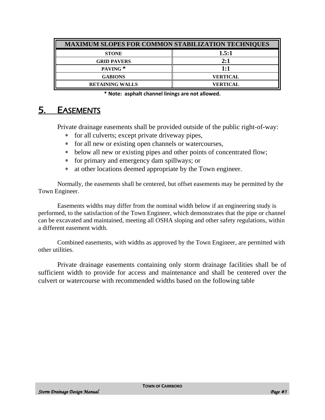| <b>MAXIMUM SLOPES FOR COMMON STABILIZATION TECHNIQUES</b> |                 |
|-----------------------------------------------------------|-----------------|
| <b>STONE</b>                                              | 1.5:1           |
| <b>GRID PAVERS</b>                                        | 2:1             |
| PAVING <sup>*</sup>                                       | 1:1             |
| <b>GABIONS</b>                                            | <b>VERTICAL</b> |
| <b>RETAINING WALLS</b>                                    | <b>VERTICAL</b> |

**\* Note: asphalt channel linings are not allowed.**

#### 5. EASEMENTS

Private drainage easements shall be provided outside of the public right-of-way:

- for all culverts; except private driveway pipes,
- for all new or existing open channels or watercourses,
- below all new or existing pipes and other points of concentrated flow;
- for primary and emergency dam spillways; or
- at other locations deemed appropriate by the Town engineer.

Normally, the easements shall be centered, but offset easements may be permitted by the Town Engineer.

Easements widths may differ from the nominal width below if an engineering study is performed, to the satisfaction of the Town Engineer, which demonstrates that the pipe or channel can be excavated and maintained, meeting all OSHA sloping and other safety regulations, within a different easement width.

Combined easements, with widths as approved by the Town Engineer, are permitted with other utilities.

Private drainage easements containing only storm drainage facilities shall be of sufficient width to provide for access and maintenance and shall be centered over the culvert or watercourse with recommended widths based on the following table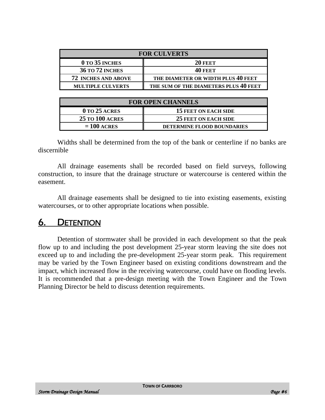| <b>FOR CULVERTS</b>        |                                       |
|----------------------------|---------------------------------------|
| $0$ to 35 inches           | <b>20 FEET</b>                        |
| <b>36 TO 72 INCHES</b>     | <b>40 FEET</b>                        |
| <b>72 INCHES AND ABOVE</b> | THE DIAMETER OR WIDTH PLUS 40 FEET    |
| <b>MULTIPLE CULVERTS</b>   | THE SUM OF THE DIAMETERS PLUS 40 FEET |

| <b>FOR OPEN CHANNELS</b> |                                   |  |
|--------------------------|-----------------------------------|--|
| $0$ to 25 acres          | 15 FEET ON EACH SIDE              |  |
| <b>25 TO 100 ACRES</b>   | <b>25 FEET ON EACH SIDE</b>       |  |
| $= 100$ acres            | <b>DETERMINE FLOOD BOUNDARIES</b> |  |

Widths shall be determined from the top of the bank or centerline if no banks are discernible

All drainage easements shall be recorded based on field surveys, following construction, to insure that the drainage structure or watercourse is centered within the easement.

All drainage easements shall be designed to tie into existing easements, existing watercourses, or to other appropriate locations when possible.

#### 6. DETENTION

Detention of stormwater shall be provided in each development so that the peak flow up to and including the post development 25-year storm leaving the site does not exceed up to and including the pre-development 25-year storm peak. This requirement may be varied by the Town Engineer based on existing conditions downstream and the impact, which increased flow in the receiving watercourse, could have on flooding levels. It is recommended that a pre-design meeting with the Town Engineer and the Town Planning Director be held to discuss detention requirements.